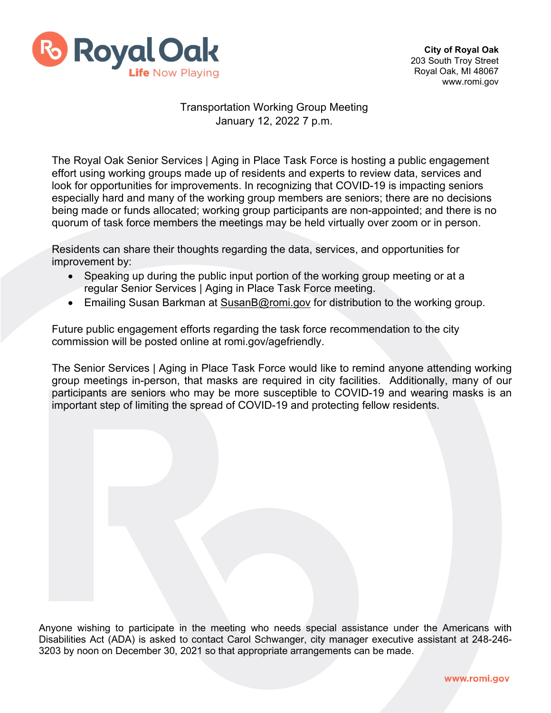

## Transportation Working Group Meeting January 12, 2022 7 p.m.

The Royal Oak Senior Services | Aging in Place Task Force is hosting a public engagement effort using working groups made up of residents and experts to review data, services and look for opportunities for improvements. In recognizing that COVID-19 is impacting seniors especially hard and many of the working group members are seniors; there are no decisions being made or funds allocated; working group participants are non-appointed; and there is no quorum of task force members the meetings may be held virtually over zoom or in person.

Residents can share their thoughts regarding the data, services, and opportunities for improvement by:

- Speaking up during the public input portion of the working group meeting or at a regular Senior Services | Aging in Place Task Force meeting.
- Emailing Susan Barkman at [SusanB@romi.gov](mailto:SusanB@romi.gov) for distribution to the working group.

Future public engagement efforts regarding the task force recommendation to the city commission will be posted online at romi.gov/agefriendly.

The Senior Services | Aging in Place Task Force would like to remind anyone attending working group meetings in-person, that masks are required in city facilities. Additionally, many of our participants are seniors who may be more susceptible to COVID-19 and wearing masks is an important step of limiting the spread of COVID-19 and protecting fellow residents.

Anyone wishing to participate in the meeting who needs special assistance under the Americans with Disabilities Act (ADA) is asked to contact Carol Schwanger, city manager executive assistant at 248-246- 3203 by noon on December 30, 2021 so that appropriate arrangements can be made.